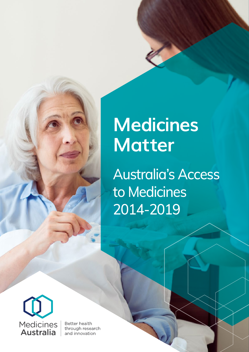## **Medicines Matter**

Australia's Access to Medicines 2014-2019



**Better health** through research and innovation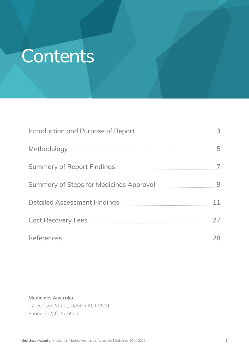## **Contents**

| Introduction and Purpose of Report [110] Materian Material Material 3 |    |
|-----------------------------------------------------------------------|----|
|                                                                       | 5  |
|                                                                       |    |
| Summary of Steps for Medicines Approval <b>Community</b> 19           |    |
|                                                                       | 11 |
| Cost Recovery Fees <b>Entitled Strategie Cost Recovery</b> Fees       | 27 |
|                                                                       | 28 |

### **Medicines Australia** 17 Denison Street, Deakin ACT 2600 Phone: (02) 6147 6500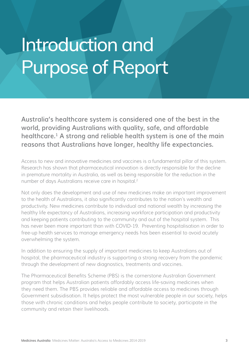## Introduction and Purpose of Report

**Australia's healthcare system is considered one of the best in the world, providing Australians with quality, safe, and affordable healthcare.1 A strong and reliable health system is one of the main reasons that Australians have longer, healthy life expectancies.**

Access to new and innovative medicines and vaccines is a fundamental pillar of this system. Research has shown that pharmaceutical innovation is directly responsible for the decline in premature mortality in Australia, as well as being responsible for the reduction in the number of days Australians receive care in hospital.<sup>2</sup>

Not only does the development and use of new medicines make an important improvement to the health of Australians, it also significantly contributes to the nation's wealth and productivity. New medicines contribute to individual and national wealth by increasing the healthy life expectancy of Australians, increasing workforce participation and productivity and keeping patients contributing to the community and out of the hospital system. This has never been more important than with COVID-19. Preventing hospitalisation in order to free-up health services to manage emergency needs has been essential to avoid acutely overwhelming the system.

In addition to ensuring the supply of important medicines to keep Australians out of hospital, the pharmaceutical industry is supporting a strong recovery from the pandemic through the development of new diagnostics, treatments and vaccines.

The Pharmaceutical Benefits Scheme (PBS) is the cornerstone Australian Government program that helps Australian patients affordably access life-saving medicines when they need them. The PBS provides reliable and affordable access to medicines through Government subsidisation. It helps protect the most vulnerable people in our society, helps those with chronic conditions and helps people contribute to society, participate in the community and retain their livelihoods.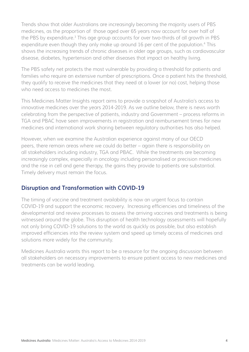Trends show that older Australians are increasingly becoming the majority users of PBS medicines, as the proportion of those aged over 65 years now account for over half of the PBS by expenditure.3 This age group accounts for over two-thirds of all growth in PBS expenditure even though they only make up around 16 per cent of the population.<sup>4</sup> This shows the increasing trends of chronic diseases in older age groups, such as cardiovascular disease, diabetes, hypertension and other diseases that impact on healthy living.

The PBS safety net protects the most vulnerable by providing a threshold for patients and families who require an extensive number of prescriptions. Once a patient hits the threshold, they qualify to receive the medicines that they need at a lower (or no) cost, helping those who need access to medicines the most.

This Medicines Matter Insights report aims to provide a snapshot of Australia's access to innovative medicines over the years 2014-2019. As we outline below, there is news worth celebrating from the perspective of patients, industry and Government – process reforms in TGA and PBAC have seen improvements in registration and reimbursement times for new medicines and international work sharing between regulatory authorities has also helped.

However, when we examine the Australian experience against many of our OECD peers, there remain areas where we could do better – again there is responsibility on all stakeholders including industry, TGA and PBAC. While the treatments are becoming increasingly complex, especially in oncology including personalised or precision medicines and the rise in cell and gene therapy, the gains they provide to patients are substantial. Timely delivery must remain the focus.

### **Disruption and Transformation with COVID-19**

The timing of vaccine and treatment availability is now an urgent focus to contain COVID-19 and support the economic recovery. Increasing efficiencies and timeliness of the developmental and review processes to assess the arriving vaccines and treatments is being witnessed around the globe. This disruption of health technology assessments will hopefully not only bring COVID-19 solutions to the world as quickly as possible, but also establish improved efficiencies into the review system and speed up timely access of medicines and solutions more widely for the community.

Medicines Australia wants this report to be a resource for the ongoing discussion between all stakeholders on necessary improvements to ensure patient access to new medicines and treatments can be world leading.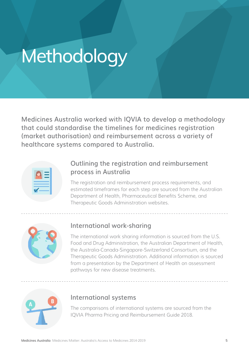## **Methodology**

**Medicines Australia worked with IQVIA to develop a methodology that could standardise the timelines for medicines registration (market authorisation) and reimbursement across a variety of healthcare systems compared to Australia.**

### **Outlining the registration and reimbursement process in Australia**

The registration and reimbursement process requirements, and estimated timeframes for each step are sourced from the Australian Department of Health, Pharmaceutical Benefits Scheme, and Therapeutic Goods Administration websites.



### **International work-sharing**

The international work sharing information is sourced from the U.S. Food and Drug Administration, the Australian Department of Health, the Australia-Canada-Singapore-Switzerland Consortium, and the Therapeutic Goods Administration. Additional information is sourced from a presentation by the Department of Health on assessment pathways for new disease treatments.



### **International systems**

The comparisons of international systems are sourced from the IQVIA Pharma Pricing and Reimbursement Guide 2018.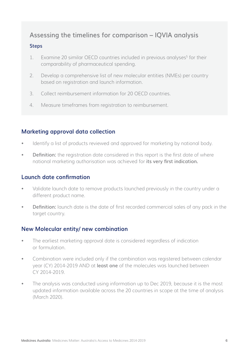### **Assessing the timelines for comparison – IQVIA analysis**

### **Steps**

- 1. Examine 20 similar OECD countries included in previous analyses<sup>5</sup> for their comparability of pharmaceutical spending.
- 2. Develop a comprehensive list of new molecular entities (NMEs) per country based on registration and launch information.
- 3. Collect reimbursement information for 20 OECD countries.
- 4. Measure timeframes from registration to reimbursement.

### **Marketing approval data collection**

- Identify a list of products reviewed and approved for marketing by national body.
- **Definition:** the registration date considered in this report is the first date of where national marketing authorisation was achieved for **its very first indication.**

### **Launch date confirmation**

- Validate launch date to remove products launched previously in the country under a different product name.
- **Definition:** launch date is the date of first recorded commercial sales of any pack in the target country.

### **New Molecular entity/ new combination**

- The earliest marketing approval date is considered regardless of indication or formulation.
- Combination were included only if the combination was registered between calendar year (CY) 2014-2019 AND at **least one** of the molecules was launched between CY 2014-2019.
- The analysis was conducted using information up to Dec 2019, because it is the most updated information available across the 20 countries in scope at the time of analysis (March 2020).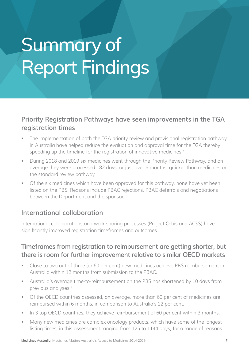# Summary of Report Findings

### **Priority Registration Pathways have seen improvements in the TGA registration times**

- The implementation of both the TGA priority review and provisional registration pathway in Australia have helped reduce the evaluation and approval time for the TGA thereby speeding up the timeline for the registration of innovative medicines.<sup>6</sup>
- During 2018 and 2019 six medicines went through the Priority Review Pathway, and on average they were processed 182 days, or just over 6 months, quicker than medicines on the standard review pathway.
- Of the six medicines which have been approved for this pathway, none have yet been listed on the PBS. Reasons include PBAC rejections, PBAC deferrals and negotiations between the Department and the sponsor.

### **International collaboration**

International collaborations and work sharing processes (Project Orbis and ACSS) have significantly improved registration timeframes and outcomes.

### **Timeframes from registration to reimbursement are getting shorter, but there is room for further improvement relative to similar OECD markets**

- Close to two out of three (or 60 per cent) new medicines achieve PBS reimbursement in Australia within 12 months from submission to the PBAC.
- Australia's average time-to-reimbursement on the PBS has shortened by 10 days from previous analyses.7
- Of the OECD countries assessed, on average, more than 60 per cent of medicines are reimbursed within 6 months, in comparison to Australia's 22 per cent.
- In 3 top OECD countries, they achieve reimbursement of 60 per cent within 3 months.
- Many new medicines are complex oncology products, which have some of the longest listing times, in this assessment ranging from 125 to 1144 days, for a range of reasons.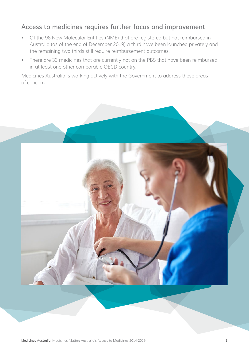### **Access to medicines requires further focus and improvement**

- Of the 96 New Molecular Entities (NME) that are registered but not reimbursed in Australia (as of the end of December 2019) a third have been launched privately and the remaining two thirds still require reimbursement outcomes.
- There are 33 medicines that are currently not on the PBS that have been reimbursed in at least one other comparable OECD country.

Medicines Australia is working actively with the Government to address these areas of concern.

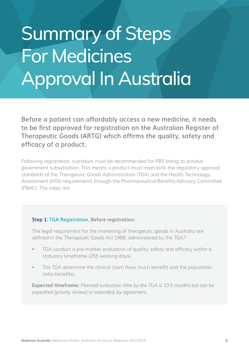# Summary of Steps For Medicines Approval In Australia

**Before a patient can affordably access a new medicine, it needs to be first approved for registration on the Australian Register of Therapeutic Goods (ARTG) which affirms the quality, safety and efficacy of a product.**

Following registration, a product must be recommended for PBS listing to achieve government subsidisation. This means a product must meet both the regulatory approval standards of the Therapeutic Goods Administration (TGA) and the Health Technology Assessment (HTA) requirements through the Pharmaceutical Benefits Advisory Committee (PBAC). The steps are:

### **Step 1: TGA Registration. Before registration:**

The legal requirement for the marketing of therapeutic goods in Australia are defined in the *Therapeutic Goods Act 1989*, administered by the TGA.8

- TGA conduct a pre-market evaluation of quality, safety and efficacy within a statutory timeframe (255 working days).
- The TGA determine the clinical claim (how much benefit) and the population (who benefits).

**Expected timeframe:** *Planned evaluation time by the TGA is 10.5 months but can be expedited (priority review) or extended, by agreement.*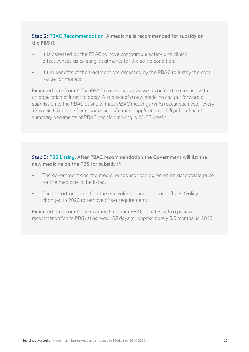### **Step 2: PBAC Recommendation. A medicine is recommended for subsidy on the PBS if:**

- It is assessed by the PBAC to have comparable safety and clinical effectiveness as existing treatments for the same condition.
- If the benefits of the treatment are assessed by the PBAC to justify the cost (value for money).

**Expected timeframe:** *The PBAC process starts 21 weeks before the meeting with an application of intent to apply. A sponsor of a new medicine can put forward a submission to the PBAC at one of three PBAC meetings which occur each year (every*  17 weeks). The time from submission of a major application to full publication of *summary documents of PBAC decision making is 33-35 weeks.*

### **Step 3: PBS Listing. After PBAC recommendation the Government will list the new medicine on the PBS for subsidy if:**

- The government and the medicine sponsor can agree on an acceptable price for the medicine to be listed.
- The Department can find the equivalent amount in cost offsets (Policy changed in 2020 to remove offset requirement).

**Expected timeframe:** *The average time from PBAC minutes with a positive recommendation to PBS listing was 105 days (or approximately 3.5 months) in 2019.*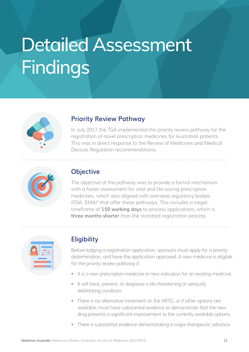# Detailed Assessment Findings

| ŕ |
|---|

### **Priority Review Pathway**

In July 2017 the TGA implemented the priority review pathway for the registration of novel prescription medicines for Australian patients. This was in direct response to the Review of Medicines and Medical Devices Regulation recommendations.



### **Objective**

The objective of the pathway was to provide a formal mechanism with a faster assessment for vital and life-saving prescription medicines, which also aligned with overseas regulatory bodies (FDA, EMA)9 that offer these pathways. This includes a target timeframe of **150 working days** to process applications, which is **three months shorter** than the standard registration process.



### **Eligibility**

Before lodging a registration application, sponsors must apply for a priority determination, and have the application approved. A new medicine is eligible for the priority review pathway if:

- It is a new prescription medicine or new indication for an existing medicine.
- It will treat, prevent, or diagnose a life threatening or seriously debilitating condition.
- There is no alternative treatment on the ARTG, or if other options are available, must have substantial evidence to demonstrate that the new drug presents a significant improvement to the currently available options.
- There is substantial evidence demonstrating a major therapeutic advance.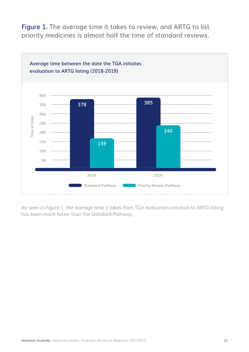**Figure 1. The average time it takes to review, and ARTG to list priority medicines is almost half the time of standard reviews.**



As seen in Figure 1, the average time it takes from TGA evaluation initiation to ARTG listing has been much faster than the Standard Pathway.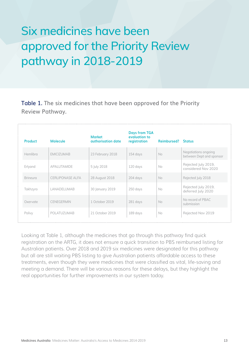### Six medicines have been approved for the Priority Review pathway in 2018-2019

**Table 1. The six medicines that have been approved for the Priority Review Pathway.**

| <b>Product</b>  | <b>Molecule</b>         | <b>Market</b><br>authorisation date | <b>Days from TGA</b><br>evaluation to<br>registration | <b>Reimbursed?</b> Status |                                                  |
|-----------------|-------------------------|-------------------------------------|-------------------------------------------------------|---------------------------|--------------------------------------------------|
| Hemlibra        | <b>EMICIZUMAB</b>       | 23 February 2018                    | 154 days                                              | <b>No</b>                 | Negotiations ongoing<br>between Dept and sponsor |
| Erlyand         | APALUTAMIDE             | 5 July 2018                         | 120 days                                              | No.                       | Rejected July 2019,<br>considered Nov 2020       |
| <b>Brineura</b> | <b>CERLIPONASE ALFA</b> | 28 August 2018                      | 204 days                                              | No                        | Rejected July 2018                               |
| Takhzyro        | LANADELUMAB             | 30 January 2019                     | 250 days                                              | No.                       | Rejected July 2019,<br>deferred July 2020        |
| Oxervate        | <b>CENEGERMIN</b>       | 1 October 2019                      | 281 days                                              | No                        | No record of PBAC<br>submission                  |
| Polivy          | POLATUZUMAB             | 21 October 2019                     | 189 days                                              | <b>No</b>                 | Rejected Nov 2019                                |

Looking at Table 1, although the medicines that go through this pathway find quick registration on the ARTG, it does not ensure a quick transition to PBS reimbursed listing for Australian patients. Over 2018 and 2019 six medicines were designated for this pathway but all are still waiting PBS listing to give Australian patients affordable access to these treatments, even though they were medicines that were classified as vital, life-saving and meeting a demand. There will be various reasons for these delays, but they highlight the real opportunities for further improvements in our system today.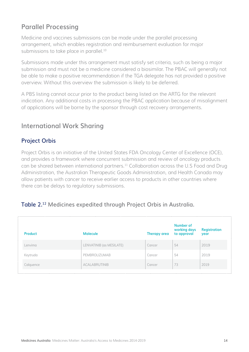### **Parallel Processing**

Medicine and vaccines submissions can be made under the parallel processing arrangement, which enables registration and reimbursement evaluation for major submissions to take place in parallel.<sup>10</sup>

Submissions made under this arrangement must satisfy set criteria, such as being a major submission and must not be a medicine considered a biosimilar. The PBAC will generally not be able to make a positive recommendation if the TGA delegate has not provided a positive overview. Without this overview the submission is likely to be deferred.

A PBS listing cannot occur prior to the product being listed on the ARTG for the relevant indication. Any additional costs in processing the PBAC application because of misalignment of applications will be borne by the sponsor through cost recovery arrangements.

### **International Work Sharing**

### **Project Orbis**

Project Orbis is an initiative of the United States FDA Oncology Center of Excellence (OCE), and provides a framework where concurrent submission and review of oncology products can be shared between international partners.11 Collaboration across the U.S Food and Drug Administration, the Australian Therapeutic Goods Administration, and Health Canada may allow patients with cancer to receive earlier access to products in other countries where there can be delays to regulatory submissions.

### **Table 2.12 Medicines expedited through Project Orbis in Australia.**

| <b>Product</b> | <b>Molecule</b>          | Therapy area | Number of<br>working days<br>to approval | <b>Registration</b><br>year |
|----------------|--------------------------|--------------|------------------------------------------|-----------------------------|
| Lenvima        | LENVATINIB (as MESILATE) | Cancer       | 54                                       | 2019                        |
| Keytruda       | PEMBROLIZUMAB            | Cancer       | 54                                       | 2019                        |
| Calquence      | ACALABRUTINIB            | Cancer       | 73                                       | 2019                        |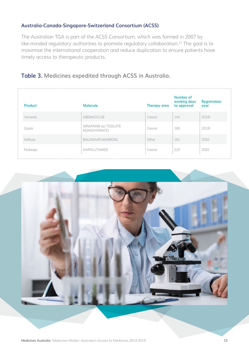### **Australia-Canada-Singapore-Switzerland Consortium (ACSS)**

The Australian TGA is part of the ACSS Consortium, which was formed in 2007 by like-minded regulatory authorities to promote regulatory collaboration.<sup>13</sup> The goal is to maximise the international cooperation and reduce duplication to ensure patients have timely access to therapeutic products.

### **Table 3. Medicines expedited through ACSS in Australia.**

| <b>Product</b> | <b>Molecule</b>                        | <b>Therapy area</b> | Number of<br>working days<br>to approval | <b>Registration</b><br>year |
|----------------|----------------------------------------|---------------------|------------------------------------------|-----------------------------|
| Verzenio       | <b>ABEMACICLIB</b>                     | Cancer              | 141                                      | 2019                        |
| Zejula         | NIRAPARIB (as TOSILATE<br>MONOHYDRATE) | Cancer              | 180                                      | 2019                        |
| Xofluza        | <b>BALOXAVIR MARBOXIL</b>              | Other               | 161                                      | 2020                        |
| Nubega         | <b>DAROLUTAMIDE</b>                    | Cancer              | 220                                      | 2020                        |

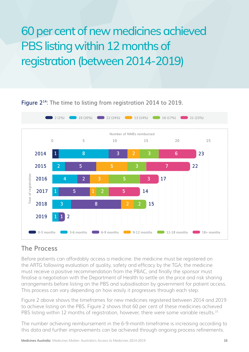### 60 per cent of new medicines achieved PBS listing within 12 months of registration (between 2014-2019)



**Figure 214: The time to listing from registration 2014 to 2019.**

### **The Process**

Before patients can affordably access a medicine: the medicine must be registered on the ARTG following evaluation of quality, safety and efficacy by the TGA; the medicine must receive a positive recommendation from the PBAC, and finally the sponsor must finalise a negotiation with the Department of Health to settle on the price and risk sharing arrangements before listing on the PBS and subsidisation by government for patient access. This process can vary depending on how easily it progresses through each step.

Figure 2 above shows the timeframes for new medicines registered between 2014 and 2019 to achieve listing on the PBS. Figure 2 shows that 60 per cent of these medicines achieved PBS listing within 12 months of registration, however, there were some variable results.<sup>15</sup>

The number achieving reimbursement in the 6-9-month timeframe is increasing according to this data and further improvements can be achieved through ongoing process refinements.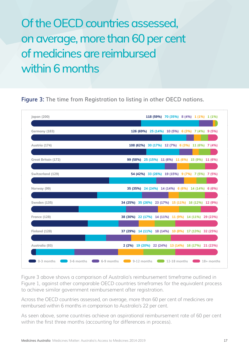### Of the OECD countries assessed, on average, more than 60 per cent of medicines are reimbursed within 6 months

**Figure 3: The time from Registration to listing in other OECD nations.**



Figure 3 above shows a comparison of Australia's reimbursement timeframe outlined in Figure 1, against other comparable OECD countries timeframes for the equivalent process to achieve similar government reimbursement after registration.

Across the OECD countries assessed, on average, more than 60 per cent of medicines are reimbursed within 6 months in comparison to Australia's 22 per cent.

As seen above, some countries achieve an aspirational reimbursement rate of 60 per cent within the first three months (accounting for differences in process).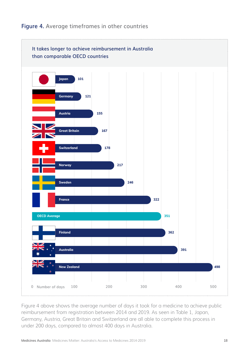### **It takes longer to achieve reimbursement in Australia than comparable OECD countries Japan 101 Germany 121 Austria 155 Great Britain 167 Switzerland 178 Norway 217 Sweden 246 OECD Average <b>351 351 Finland 362 Australia 391 France 322**

### **Figure 4. Average timeframes in other countries**

Figure 4 above shows the average number of days it took for a medicine to achieve public reimbursement from registration between 2014 and 2019. As seen in Table 1, Japan, Germany, Austria, Great Britain and Switzerland are all able to complete this process in under 200 days, compared to almost 400 days in Australia.

**0 Number of days 100 200 300 400 500**

**New Zealand 498**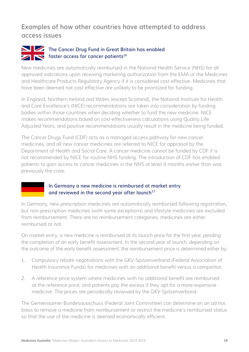### **Examples of how other countries have attempted to address access issues**

### **The Cancer Drug Fund in Great Britain has enabled faster access for cancer patients**<sup>16</sup>

New medicines are automatically reimbursed in the National Health Service (NHS) for all approved indications upon receiving marketing authorization from the EMA or the Medicines and Healthcare Products Regulatory Agency if it is considered cost effective. Medicines that have been deemed not cost effective are unlikely to be prioritized for funding.

In England, Northern Ireland and Wales (except Scotland), the National Institute for Health and Care Excellence's (NICE) recommendations are taken into consideration by funding bodies within those countries when deciding whether to fund the new medicine. NICE makes recommendations based on cost-effectiveness calculations using Quality Life Adjusted Years, and positive recommendations usually result in the medicine being funded.

The Cancer Drugs Fund (CDF) acts as a managed access pathway for new cancer medicines, and all new cancer medicines are referred to NICE for appraisal by the Department of Health and Social Care. A cancer medicine cannot be funded by CDF if is not recommended by NICE for routine NHS funding. The introduction of CDF has enabled patients to gain access to cancer medicines in the NHS at least 4 months earlier than was previously the case.

### **In Germany a new medicine is reimbursed at market entry**  and reviewed in the second year after launch<sup>17</sup>

In Germany, new prescription medicines are automatically reimbursed following registration, but non-prescription medicines (with some exceptions) and lifestyle medicines are excluded from reimbursement. There are no reimbursement categories; medicines are either reimbursed or not.

On market entry, a new medicine is reimbursed at its launch price for the first year, pending the completion of an early benefit assessment. In the second year of launch, depending on the outcome of the early benefit assessment, the reimbursement price is determined either by:

- 1. Compulsory rebate negotiations with the GKV-Spitzenverband (Federal Association of Health Insurance Funds) for medicines with an additional benefit versus a competitor.
- 2. A reference price system where medicines with no additional benefit are reimbursed at the reference price, and patients pay the excess if they opt for a more expensive medicine. The prices are periodically reviewed by the GKV-Spitzenverband.

The Gemeinsamer Bundesausschuss (Federal Joint Committee) can determine on an ad hoc basis to remove a medicine from reimbursement or restrict the medicine's reimbursed status so that the use of the medicine is deemed economically efficient.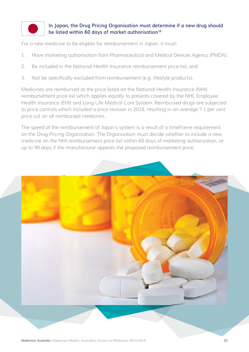

### **In Japan, the Drug Pricing Organisation must determine if a new drug should be listed within 60 days of market authorisation18**

For a new medicine to be eligible for reimbursement in Japan, it must:

- 1. Have marketing authorisation from Pharmaceutical and Medical Devices Agency (PMDA);
- 2. Be included in the National Health Insurance reimbursement price list; and
- 3. Not be specifically excluded from reimbursement (e.g. lifestyle products).

Medicines are reimbursed at the price listed on the National Health Insurance (NHI) reimbursement price list which applies equally to patients covered by the NHI, Employee Health Insurance (EHI) and Long-Life Medical Care System. Reimbursed drugs are subjected to price controls which included a price revision in 2018, resulting in an average 7.1 per cent price cut on all reimbursed medicines.

The speed of the reimbursement of Japan's system is a result of a timeframe requirement on the Drug Pricing Organisation. The Organisation must decide whether to include a new medicine on the NHI reimbursement price list within 60 days of marketing authorisation, or up to 90 days if the manufacturer appeals the proposed reimbursement price.

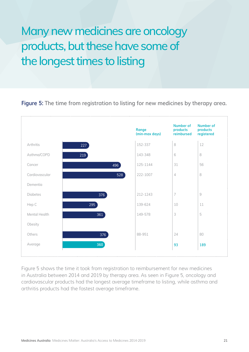### Many new medicines are oncology products, but these have some of the longest times to listing

### **Figure 5: The time from registration to listing for new medicines by therapy area.**



Figure 5 shows the time it took from registration to reimbursement for new medicines in Australia between 2014 and 2019 by therapy area. As seen in Figure 5, oncology and cardiovascular products had the longest average timeframe to listing, while asthma and arthritis products had the fastest average timeframe.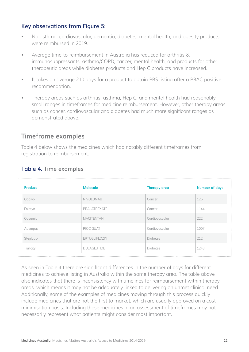### **Key observations from Figure 5:**

- No asthma, cardiovascular, dementia, diabetes, mental health, and obesity products were reimbursed in 2019.
- Average time-to-reimbursement in Australia has reduced for arthritis & immunosuppressants, asthma/COPD, cancer, mental health, and products for other therapeutic areas while diabetes products and Hep C products have increased.
- It takes on average 210 days for a product to obtain PBS listing after a PBAC positive recommendation.
- Therapy areas such as arthritis, asthma, Hep C, and mental health had reasonably small ranges in timeframes for medicine reimbursement. However, other therapy areas such as cancer, cardiovascular and diabetes had much more significant ranges as demonstrated above.

### **Timeframe examples**

Table 4 below shows the medicines which had notably different timeframes from registration to reimbursement.

| <b>Product</b> | <b>Molecule</b>    | <b>Therapy area</b> | <b>Number of days</b> |
|----------------|--------------------|---------------------|-----------------------|
| Opdivo         | <b>NIVOLUMAB</b>   | Cancer              | 125                   |
| Folotyn        | PRALATREXATE       | Cancer              | 1144                  |
| Opsumit        | <b>MACITENTAN</b>  | Cardiovascular      | 222                   |
| Adempas        | <b>RIOCIGUAT</b>   | Cardiovascular      | 1007                  |
| Steglatro      | ERTUGLIFLOZIN      | <b>Diabetes</b>     | 212                   |
| Trulicity      | <b>DULAGLUTIDE</b> | Diabetes            | 1243                  |

### **Table 4. Time examples**

As seen in Table 4 there are significant differences in the number of days for different medicines to achieve listing in Australia within the same therapy area. The table above also indicates that there is inconsistency with timelines for reimbursement within therapy areas, which means it may not be adequately linked to delivering on unmet clinical need. Additionally, some of the examples of medicines moving through this process quickly include medicines that are not the first to market, which are usually approved on a cost minimisation basis. Including these medicines in an assessment of timeframes may not necessarily represent what patients might consider most important.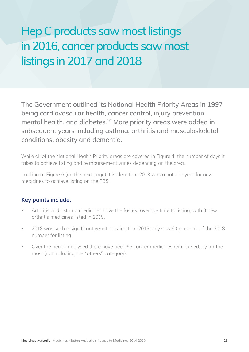### Hep C products saw most listings in 2016, cancer products saw most listings in 2017 and 2018

The Government outlined its National Health Priority Areas in 1997 being cardiovascular health, cancer control, injury prevention, mental health, and diabetes.19 More priority areas were added in subsequent years including asthma, arthritis and musculoskeletal conditions, obesity and dementia.

While all of the National Health Priority areas are covered in Figure 4, the number of days it takes to achieve listing and reimbursement varies depending on the area.

Looking at Figure 6 (on the next page) it is clear that 2018 was a notable year for new medicines to achieve listing on the PBS.

### **Key points include:**

- Arthritis and asthma medicines have the fastest average time to listing, with 3 new arthritis medicines listed in 2019.
- 2018 was such a significant year for listing that 2019 only saw 60 per cent of the 2018 number for listing.
- Over the period analysed there have been 56 cancer medicines reimbursed, by far the most (not including the "others" category).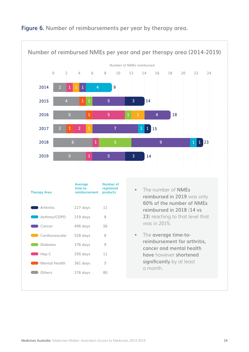

### **Figure 6. Number of reimbursements per year by therapy area.**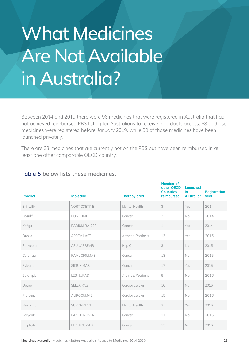# What Medicines Are Not Available in Australia?

Between 2014 and 2019 there were 96 medicines that were registered in Australia that had not achieved reimbursed PBS listing for Australians to receive affordable access. 68 of those medicines were registered before January 2019, while 30 of those medicines have been launched privately.

There are 33 medicines that are currently not on the PBS but have been reimbursed in at least one other comparable OECD country.

| <b>Product</b>    | <b>Molecule</b>    | <b>Therapy area</b>  | Number of<br>other OECD<br><b>Countries</b><br>reimbursed | Launched<br>in.<br><b>Australia?</b> | <b>Registration</b><br>year |
|-------------------|--------------------|----------------------|-----------------------------------------------------------|--------------------------------------|-----------------------------|
| <b>Brintellix</b> | VORTIOXETINE       | Mental Health        | 3                                                         | Yes                                  | 2014                        |
| Bosulif           | <b>BOSUTINIB</b>   | Cancer               | $\overline{2}$                                            | No                                   | 2014                        |
| Xofigo            | RADIUM RA-223      | Cancer               | 1                                                         | Yes                                  | 2014                        |
| Otezla            | <b>APREMILAST</b>  | Arthritis, Psoriasis | 13                                                        | Yes                                  | 2015                        |
| Sunvepra          | <b>ASUNAPREVIR</b> | Hep C                | 3                                                         | No                                   | 2015                        |
| Cyramza           | <b>RAMUCIRUMAB</b> | Cancer               | 18                                                        | No                                   | 2015                        |
| Sylvant           | <b>SILTUXIMAB</b>  | Cancer               | 17                                                        | Yes                                  | 2015                        |
| Zurampic          | <b>LESINURAD</b>   | Arthritis, Psoriasis | 8                                                         | No                                   | 2016                        |
| Uptravi           | <b>SELEXIPAG</b>   | Cardiovascular       | 16                                                        | No                                   | 2016                        |
| Praluent          | <b>ALIROCUMAB</b>  | Cardiovascular       | 15                                                        | No                                   | 2016                        |
| Belsomra          | SUVOREXANT         | Mental Health        | $\overline{2}$                                            | Yes                                  | 2016                        |
| Farydak           | PANOBINOSTAT       | Cancer               | 11                                                        | <b>No</b>                            | 2016                        |
| Empliciti         | <b>ELOTUZUMAB</b>  | Cancer               | 13                                                        | <b>No</b>                            | 2016                        |

### **Table 5 below lists these medicines.**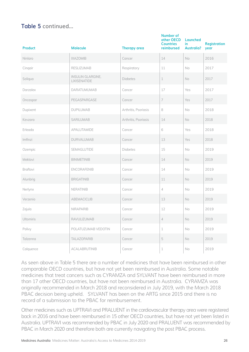### **Table 5 continued...**

| <b>Product</b> | <b>Molecule</b>                   | <b>Therapy area</b>  | <b>Number of</b><br>other OECD<br><b>Countries</b><br>reimbursed | Launched<br>in.<br><b>Australia?</b> | <b>Registration</b><br>year |
|----------------|-----------------------------------|----------------------|------------------------------------------------------------------|--------------------------------------|-----------------------------|
| Ninlaro        | <b>IXAZOMIB</b>                   | Cancer               | $14\,$                                                           | No                                   | 2016                        |
| Cinqair        | <b>RESLIZUMAB</b>                 | Respiratory          | 11                                                               | No                                   | 2017                        |
| Soliqua        | INSULIN GLARGINE,<br>LIXISENATIDE | Diabetes             | $\mathbf 1$                                                      | No                                   | 2017                        |
| Darzalex       | <b>DARATUMUMAB</b>                | Cancer               | 17                                                               | Yes                                  | 2017                        |
| Oncaspar       | PEGASPARGASE                      | Cancer               | $\overline{7}$                                                   | Yes                                  | 2017                        |
| Dupixent       | <b>DUPILUMAB</b>                  | Arthritis, Psoriasis | 8                                                                | No                                   | 2018                        |
| Kevzara        | <b>SARILUMAB</b>                  | Arthritis, Psoriasis | 14                                                               | No                                   | 2018                        |
| Erleada        | APALUTAMIDE                       | Cancer               | 6                                                                | Yes                                  | 2018                        |
| Imfinzi        | DURVALUMAB                        | Cancer               | 13                                                               | Yes                                  | 2018                        |
| Ozempic        | SEMAGLUTIDE                       | Diabetes             | 15                                                               | No                                   | 2019                        |
| Mektovi        | <b>BINIMETINIB</b>                | Cancer               | 14                                                               | No                                   | 2019                        |
| Braftovi       | ENCORAFENIB                       | Cancer               | 14                                                               | No                                   | 2019                        |
| Alunbrig       | <b>BRIGATINIB</b>                 | Cancer               | 11                                                               | No                                   | 2019                        |
| Nerlynx        | <b>NERATINIB</b>                  | Cancer               | 4                                                                | No                                   | 2019                        |
| Verzenio       | ABEMACICLIB                       | Cancer               | 13                                                               | No.                                  | 2019                        |
| Zejula         | <b>NIRAPARIB</b>                  | Cancer               | 12                                                               | No                                   | 2019                        |
| Ultomiris      | RAVULIZUMAB                       | Cancer               | 4                                                                | No                                   | 2019                        |
| Polivy         | POLATUZUMAB VEDOTIN               | Cancer               | $\mathbf 1$                                                      | No                                   | 2019                        |
| Talzenna       | TALAZOPARIB                       | Cancer               | 5                                                                | No                                   | 2019                        |
| Calquence      | ACALABRUTINIB                     | Cancer               | $\perp$                                                          | No                                   | 2019                        |

As seen above in Table 5 there are a number of medicines that have been reimbursed in other comparable OECD countries, but have not yet been reimbursed in Australia. Some notable medicines that treat cancers such as CYRAMZA and SYLVANT have been reimbursed in more than 17 other OECD countries, but have not been reimbursed in Australia. CYRAMZA was originally recommended in March 2018 and reconsidered in July 2019, with the March 2018 PBAC decision being upheld. SYLVANT has been on the ARTG since 2015 and there is no record of a submission to the PBAC for reimbursement.

Other medicines such as UPTRAVI and PRALUENT in the cardiovascular therapy area were registered back in 2016 and have been reimbursed in 15 other OECD countries, but have not yet been listed in Australia. UPTRAVI was recommended by PBAC in July 2020 and PRALUENT was recommended by PBAC in March 2020 and therefore both are currently navigating the post PBAC process.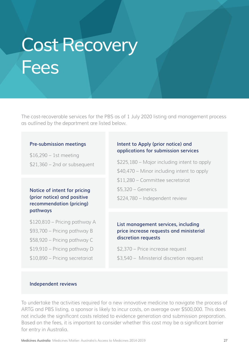## Cost Recovery **Fees**

The cost-recoverable services for the PBS as of 1 July 2020 listing and management process as outlined by the department are listed below.

#### **Pre-submission meetings**

\$16,290 – 1st meeting \$21,360 – 2nd or subsequent

### **Notice of intent for pricing (prior notice) and positive recommendation (pricing) pathways**

\$120,810 – Pricing pathway A

- \$93,700 Pricing pathway B
- \$58,920 Pricing pathway C
- \$19,910 Pricing pathway D
- \$10,890 Pricing secretariat

### **Intent to Apply (prior notice) and applications for submission services**

\$225,180 – Major including intent to apply \$40,470 – Minor including intent to apply \$11,280 – Committee secretariat \$5,320 – Generics \$224,780 – Independent review

### **List management services, including price increase requests and ministerial discretion requests**

\$2,370 – Price increase request

\$3,540 – Ministerial discretion request

#### **Independent reviews**

To undertake the activities required for a new innovative medicine to navigate the process of ARTG and PBS listing, a sponsor is likely to incur costs, on average over \$500,000. This does not include the significant costs related to evidence generation and submission preparation. Based on the fees, it is important to consider whether this cost may be a significant barrier for entry in Australia.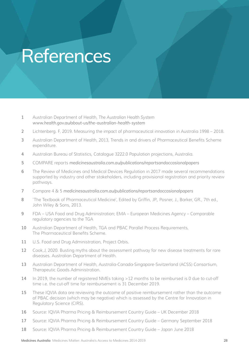## References

- **1** Australian Department of Health, *The Australian Health System [www.health.gov.au/about-us/the-australian-health-system](http://www.health.gov.au/about-us/the-australian-health-system)*
- **2** Lichtenberg. F, 2019. Measuring the impact of pharmaceutical innovation in Australia 1998 2018.
- **3** Australian Department of Health, 2013, Trends in and drivers of Pharmaceutical Benefits Scheme expenditure.
- **4** Australian Bureau of Statistics, Catalogue 3222.0 Population projections, Australia.
- **5** COMPARE reports *[medicinesaustralia.com.au/publications/reportsandoccasionalpapers](http://medicinesaustralia.com.au/publications/reportsandoccasionalpapers)*
- **6** The Review of Medicines and Medical Devices Regulation in 2017 made several recommendations supported by industry and other stakeholders, including provisional registration and priority review pathways.
- **7** Compare 4 & 5 *[medicinesaustralia.com.au/publications/reportsandoccasionalpapers](http://medicinesaustralia.com.au/publications/reportsandoccasionalpapers)*
- **8** 'The Textbook of Pharmaceutical Medicine', Edited by Griffin, JP., Posner, J., Barker, GR., 7th ed., John Wiley & Sons, 2013.
- **9** FDA USA Food and Drug Administration; EMA European Medicines Agency Comparable regulatory agencies to the TGA
- **10** Australian Department of Health, TGA and PBAC Parallel Process Requirements, The Pharmaceutical Benefits Scheme.
- **11** U.S. Food and Drug Administration, Project Orbis.
- **12** Cook,J, 2020. Busting myths about the assessment pathway for new disease treatments for rare diseases. Australian Department of Health.
- **13** Australian Department of Health, Australia-Canada-Singapore-Switzerland (ACSS) Consortium, Therapeutic Goods Administration.
- **14** In 2019, the number of registered NMEs taking >12 months to be reimbursed is 0 due to cut-off time i.e. the cut-off time for reimbursement is 31 December 2019.
- **15** These IQVIA data are reviewing the outcome of positive reimbursement rather than the outcome of PBAC decision (which may be negative) which is assessed by the Centre for Innovation in Regulatory Science (CIRS).
- **16** Source: IQVIA Pharma Pricing & Reimbursement Country Guide UK December 2018
- **17** Source: IQVIA Pharma Pricing & Reimbursement Country Guide Germany September 2018
- **18** Source: IQVIA Pharma Pricing & Reimbursement Country Guide Japan June 2018